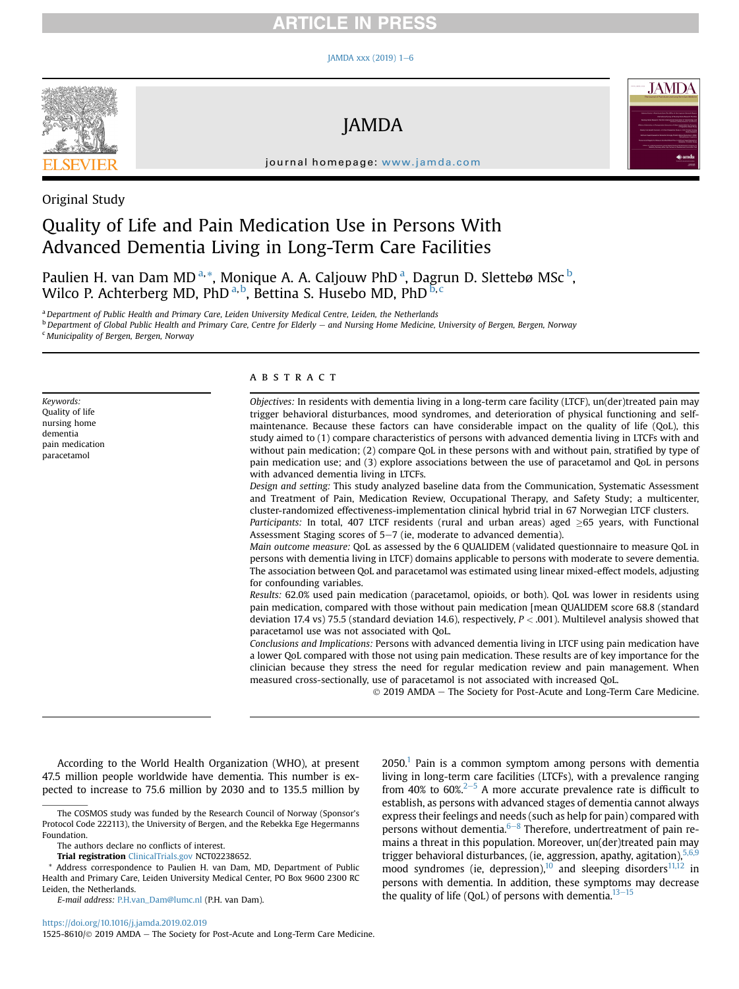# RTICLE IN PRESS

#### JAMDA xxx (2019)  $1-6$  $1-6$



JAMDA



journal homepage: [www.jamda.com](http://www.jamda.com)

# Original Study

# Quality of Life and Pain Medication Use in Persons With Advanced Dementia Living in Long-Term Care Facilities

Paulien H. van Dam MD<sup>a,\*</sup>, Monique A. A. Caljouw PhD<sup>a</sup>, Dagrun D. Slettebø MSc<sup>b</sup>, Wilco P. Achterberg MD, PhD <sup>a, b</sup>, Bettina S. Husebo MD, PhD  $^{\text{b,c}}$ 

a Department of Public Health and Primary Care, Leiden University Medical Centre, Leiden, the Netherlands <sup>b</sup> Department of Global Public Health and Primary Care, Centre for Elderly - and Nursing Home Medicine, University of Bergen, Bergen, Norway <sup>c</sup> Municipality of Bergen, Bergen, Norway

Keywords: Quality of life nursing home dementia pain medication paracetamol

## **ABSTRACT**

Objectives: In residents with dementia living in a long-term care facility (LTCF), un(der)treated pain may trigger behavioral disturbances, mood syndromes, and deterioration of physical functioning and selfmaintenance. Because these factors can have considerable impact on the quality of life (QoL), this study aimed to (1) compare characteristics of persons with advanced dementia living in LTCFs with and without pain medication; (2) compare QoL in these persons with and without pain, stratified by type of pain medication use; and (3) explore associations between the use of paracetamol and QoL in persons with advanced dementia living in LTCFs.

Design and setting: This study analyzed baseline data from the Communication, Systematic Assessment and Treatment of Pain, Medication Review, Occupational Therapy, and Safety Study; a multicenter, cluster-randomized effectiveness-implementation clinical hybrid trial in 67 Norwegian LTCF clusters. Participants: In total, 407 LTCF residents (rural and urban areas) aged  $\geq$ 65 years, with Functional Assessment Staging scores of  $5-7$  (ie, moderate to advanced dementia).

Main outcome measure: QoL as assessed by the 6 QUALIDEM (validated questionnaire to measure QoL in persons with dementia living in LTCF) domains applicable to persons with moderate to severe dementia. The association between QoL and paracetamol was estimated using linear mixed-effect models, adjusting for confounding variables.

Results: 62.0% used pain medication (paracetamol, opioids, or both). QoL was lower in residents using pain medication, compared with those without pain medication [mean QUALIDEM score 68.8 (standard deviation 17.4 vs) 75.5 (standard deviation 14.6), respectively,  $P < .001$ ). Multilevel analysis showed that paracetamol use was not associated with QoL.

Conclusions and Implications: Persons with advanced dementia living in LTCF using pain medication have a lower QoL compared with those not using pain medication. These results are of key importance for the clinician because they stress the need for regular medication review and pain management. When measured cross-sectionally, use of paracetamol is not associated with increased QoL.

 $©$  2019 AMDA - The Society for Post-Acute and Long-Term Care Medicine.

According to the World Health Organization (WHO), at present 47.5 million people worldwide have dementia. This number is expected to increase to 75.6 million by 2030 and to 135.5 million by

The authors declare no conflicts of interest.

Trial registration [ClinicalTrials.gov](http://ClinicalTrials.gov) NCT02238652.

\* Address correspondence to Paulien H. van Dam, MD, Department of Public Health and Primary Care, Leiden University Medical Center, PO Box 9600 2300 RC Leiden, the Netherlands.

E-mail address: [P.H.van\\_Dam@lumc.nl](mailto:P.H.van_Dam@lumc.nl) (P.H. van Dam).

<https://doi.org/10.1016/j.jamda.2019.02.019>

1525-8610/ $\odot$  2019 AMDA - The Society for Post-Acute and Long-Term Care Medicine.

 $2050<sup>1</sup>$  $2050<sup>1</sup>$  $2050<sup>1</sup>$  Pain is a common symptom among persons with dementia living in long-term care facilities (LTCFs), with a prevalence ranging from 40% to 60%. $2-5$  $2-5$  $2-5$  A more accurate prevalence rate is difficult to establish, as persons with advanced stages of dementia cannot always express their feelings and needs (such as help for pain) compared with persons without dementia. $6-8$  $6-8$  Therefore, undertreatment of pain remains a threat in this population. Moreover, un(der)treated pain may trigger behavioral disturbances, (ie, aggression, apathy, agitation), 5,6 mood syndromes (ie, depression),<sup>[10](#page-4-0)</sup> and sleeping disorders<sup>[11,12](#page-4-0)</sup> in persons with dementia. In addition, these symptoms may decrease the quality of life (QoL) of persons with dementia. $13-15$  $13-15$ 

The COSMOS study was funded by the Research Council of Norway (Sponsor's Protocol Code 222113), the University of Bergen, and the Rebekka Ege Hegermanns Foundation.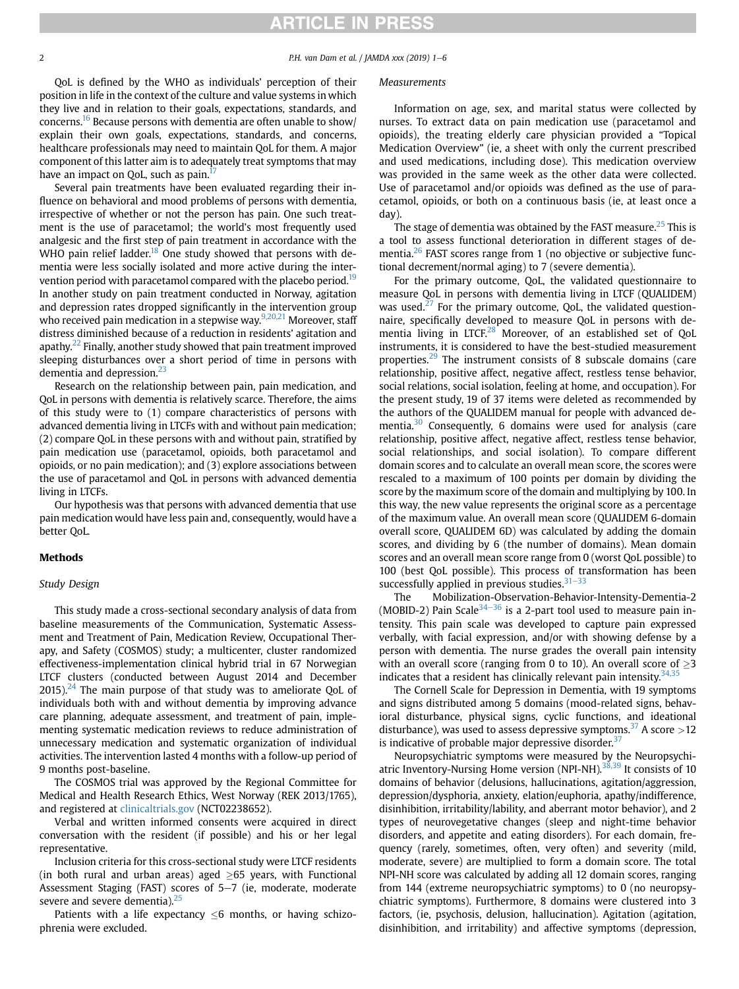# **RTICLE IN PRESS**

#### 2 P.H. van Dam et al. / JAMDA xxx (2019) 1-6

QoL is defined by the WHO as individuals' perception of their position in life in the context of the culture and value systems in which they live and in relation to their goals, expectations, standards, and concerns[.16](#page-4-0) Because persons with dementia are often unable to show/ explain their own goals, expectations, standards, and concerns, healthcare professionals may need to maintain QoL for them. A major component of this latter aim is to adequately treat symptoms that may have an impact on QoL, such as pain.<sup>[17](#page-4-0)</sup>

Several pain treatments have been evaluated regarding their influence on behavioral and mood problems of persons with dementia, irrespective of whether or not the person has pain. One such treatment is the use of paracetamol; the world's most frequently used analgesic and the first step of pain treatment in accordance with the WHO pain relief ladder.<sup>[18](#page-4-0)</sup> One study showed that persons with dementia were less socially isolated and more active during the intervention period with paracetamol compared with the placebo period.<sup>19</sup> In another study on pain treatment conducted in Norway, agitation and depression rates dropped significantly in the intervention group who received pain medication in a stepwise way. $9,20,21$  Moreover, staff distress diminished because of a reduction in residents' agitation and apathy. $^{22}$  Finally, another study showed that pain treatment improved sleeping disturbances over a short period of time in persons with dementia and depression.<sup>[23](#page-4-0)</sup>

Research on the relationship between pain, pain medication, and QoL in persons with dementia is relatively scarce. Therefore, the aims of this study were to (1) compare characteristics of persons with advanced dementia living in LTCFs with and without pain medication; (2) compare QoL in these persons with and without pain, stratified by pain medication use (paracetamol, opioids, both paracetamol and opioids, or no pain medication); and (3) explore associations between the use of paracetamol and QoL in persons with advanced dementia living in LTCFs.

Our hypothesis was that persons with advanced dementia that use pain medication would have less pain and, consequently, would have a better QoL.

# Methods

## Study Design

This study made a cross-sectional secondary analysis of data from baseline measurements of the Communication, Systematic Assessment and Treatment of Pain, Medication Review, Occupational Therapy, and Safety (COSMOS) study; a multicenter, cluster randomized effectiveness-implementation clinical hybrid trial in 67 Norwegian LTCF clusters (conducted between August 2014 and December  $2015$ ).<sup>[24](#page-4-0)</sup> The main purpose of that study was to ameliorate QoL of individuals both with and without dementia by improving advance care planning, adequate assessment, and treatment of pain, implementing systematic medication reviews to reduce administration of unnecessary medication and systematic organization of individual activities. The intervention lasted 4 months with a follow-up period of 9 months post-baseline.

The COSMOS trial was approved by the Regional Committee for Medical and Health Research Ethics, West Norway (REK 2013/1765), and registered at [clinicaltrials.gov](http://clinicaltrials.gov) (NCT02238652).

Verbal and written informed consents were acquired in direct conversation with the resident (if possible) and his or her legal representative.

Inclusion criteria for this cross-sectional study were LTCF residents (in both rural and urban areas) aged  $\geq 65$  years, with Functional Assessment Staging (FAST) scores of  $5-7$  (ie, moderate, moderate severe and severe dementia). $25$ 

Patients with a life expectancy  $\leq 6$  months, or having schizophrenia were excluded.

# Measurements

Information on age, sex, and marital status were collected by nurses. To extract data on pain medication use (paracetamol and opioids), the treating elderly care physician provided a "Topical Medication Overview" (ie, a sheet with only the current prescribed and used medications, including dose). This medication overview was provided in the same week as the other data were collected. Use of paracetamol and/or opioids was defined as the use of paracetamol, opioids, or both on a continuous basis (ie, at least once a day).

The stage of dementia was obtained by the FAST measure.<sup>[25](#page-4-0)</sup> This is a tool to assess functional deterioration in different stages of de-mentia.<sup>[26](#page-4-0)</sup> FAST scores range from 1 (no objective or subjective functional decrement/normal aging) to 7 (severe dementia).

For the primary outcome, QoL, the validated questionnaire to measure QoL in persons with dementia living in LTCF (QUALIDEM) was used. $27$  For the primary outcome, QoL, the validated questionnaire, specifically developed to measure QoL in persons with dementia living in LTCF. $^{28}$  $^{28}$  $^{28}$  Moreover, of an established set of QoL instruments, it is considered to have the best-studied measurement properties.<sup>[29](#page-4-0)</sup> The instrument consists of 8 subscale domains (care relationship, positive affect, negative affect, restless tense behavior, social relations, social isolation, feeling at home, and occupation). For the present study, 19 of 37 items were deleted as recommended by the authors of the QUALIDEM manual for people with advanced de-mentia.<sup>[30](#page-4-0)</sup> Consequently, 6 domains were used for analysis (care relationship, positive affect, negative affect, restless tense behavior, social relationships, and social isolation). To compare different domain scores and to calculate an overall mean score, the scores were rescaled to a maximum of 100 points per domain by dividing the score by the maximum score of the domain and multiplying by 100. In this way, the new value represents the original score as a percentage of the maximum value. An overall mean score (QUALIDEM 6-domain overall score, QUALIDEM 6D) was calculated by adding the domain scores, and dividing by 6 (the number of domains). Mean domain scores and an overall mean score range from 0 (worst QoL possible) to 100 (best QoL possible). This process of transformation has been successfully applied in previous studies. $31-33$  $31-33$  $31-33$ 

The Mobilization-Observation-Behavior-Intensity-Dementia-2 (MOBID-2) Pain Scale<sup>[34](#page-5-0)–[36](#page-5-0)</sup> is a 2-part tool used to measure pain intensity. This pain scale was developed to capture pain expressed verbally, with facial expression, and/or with showing defense by a person with dementia. The nurse grades the overall pain intensity with an overall score (ranging from 0 to 10). An overall score of  $\geq$ 3 indicates that a resident has clinically relevant pain intensity.  $34,35$ 

The Cornell Scale for Depression in Dementia, with 19 symptoms and signs distributed among 5 domains (mood-related signs, behavioral disturbance, physical signs, cyclic functions, and ideational disturbance), was used to assess depressive symptoms.<sup>37</sup> A score  $>12$ is indicative of probable major depressive disorder. $37$ 

Neuropsychiatric symptoms were measured by the Neuropsychi-atric Inventory-Nursing Home version (NPI-NH).<sup>[38,39](#page-5-0)</sup> It consists of 10 domains of behavior (delusions, hallucinations, agitation/aggression, depression/dysphoria, anxiety, elation/euphoria, apathy/indifference, disinhibition, irritability/lability, and aberrant motor behavior), and 2 types of neurovegetative changes (sleep and night-time behavior disorders, and appetite and eating disorders). For each domain, frequency (rarely, sometimes, often, very often) and severity (mild, moderate, severe) are multiplied to form a domain score. The total NPI-NH score was calculated by adding all 12 domain scores, ranging from 144 (extreme neuropsychiatric symptoms) to 0 (no neuropsychiatric symptoms). Furthermore, 8 domains were clustered into 3 factors, (ie, psychosis, delusion, hallucination). Agitation (agitation, disinhibition, and irritability) and affective symptoms (depression,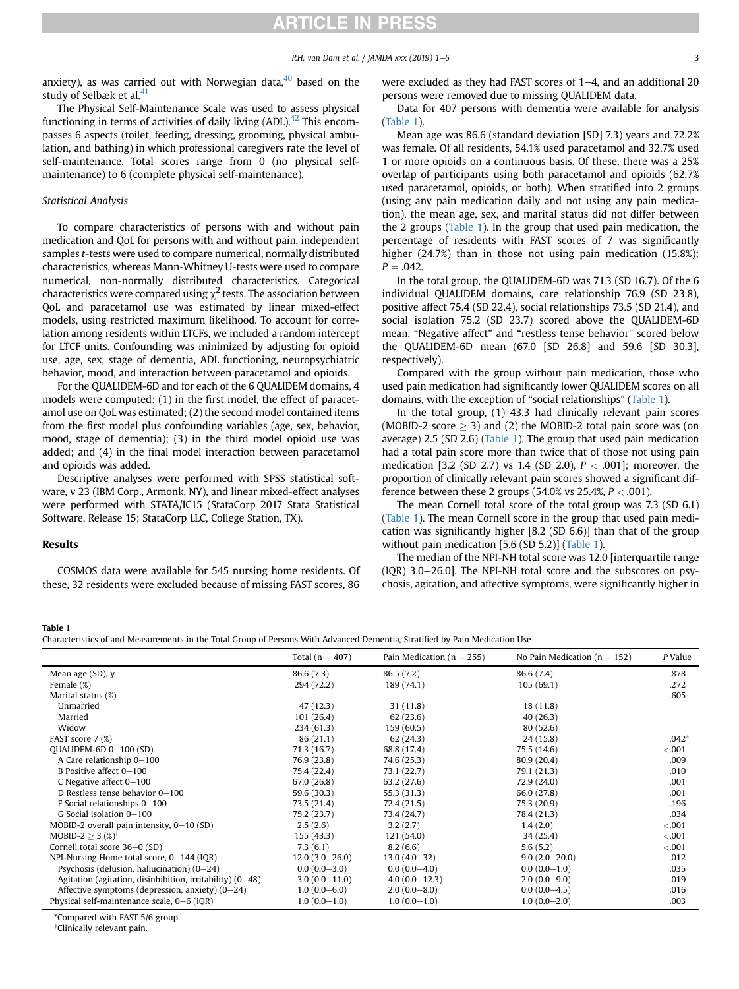<span id="page-2-0"></span>anxiety), as was carried out with Norwegian data, $40$  based on the study of Selbæk et al.<sup>[41](#page-5-0)</sup>

The Physical Self-Maintenance Scale was used to assess physical functioning in terms of activities of daily living  $(ADL).<sup>42</sup>$  This encompasses 6 aspects (toilet, feeding, dressing, grooming, physical ambulation, and bathing) in which professional caregivers rate the level of self-maintenance. Total scores range from 0 (no physical selfmaintenance) to 6 (complete physical self-maintenance).

## Statistical Analysis

To compare characteristics of persons with and without pain medication and QoL for persons with and without pain, independent samples t-tests were used to compare numerical, normally distributed characteristics, whereas Mann-Whitney U-tests were used to compare numerical, non-normally distributed characteristics. Categorical characteristics were compared using  $\chi^2$  tests. The association between QoL and paracetamol use was estimated by linear mixed-effect models, using restricted maximum likelihood. To account for correlation among residents within LTCFs, we included a random intercept for LTCF units. Confounding was minimized by adjusting for opioid use, age, sex, stage of dementia, ADL functioning, neuropsychiatric behavior, mood, and interaction between paracetamol and opioids.

For the QUALIDEM-6D and for each of the 6 QUALIDEM domains, 4 models were computed: (1) in the first model, the effect of paracetamol use on QoL was estimated; (2) the second model contained items from the first model plus confounding variables (age, sex, behavior, mood, stage of dementia); (3) in the third model opioid use was added; and (4) in the final model interaction between paracetamol and opioids was added.

Descriptive analyses were performed with SPSS statistical software, v 23 (IBM Corp., Armonk, NY), and linear mixed-effect analyses were performed with STATA/IC15 (StataCorp 2017 Stata Statistical Software, Release 15; StataCorp LLC, College Station, TX).

# Results

COSMOS data were available for 545 nursing home residents. Of these, 32 residents were excluded because of missing FAST scores, 86 were excluded as they had FAST scores of  $1-4$ , and an additional 20 persons were removed due to missing QUALIDEM data.

Data for 407 persons with dementia were available for analysis (Table 1).

Mean age was 86.6 (standard deviation [SD] 7.3) years and 72.2% was female. Of all residents, 54.1% used paracetamol and 32.7% used 1 or more opioids on a continuous basis. Of these, there was a 25% overlap of participants using both paracetamol and opioids (62.7% used paracetamol, opioids, or both). When stratified into 2 groups (using any pain medication daily and not using any pain medication), the mean age, sex, and marital status did not differ between the 2 groups (Table 1). In the group that used pain medication, the percentage of residents with FAST scores of 7 was significantly higher (24.7%) than in those not using pain medication (15.8%);  $P = .042.$ 

In the total group, the QUALIDEM-6D was 71.3 (SD 16.7). Of the 6 individual QUALIDEM domains, care relationship 76.9 (SD 23.8), positive affect 75.4 (SD 22.4), social relationships 73.5 (SD 21.4), and social isolation 75.2 (SD 23.7) scored above the QUALIDEM-6D mean. "Negative affect" and "restless tense behavior" scored below the QUALIDEM-6D mean (67.0 [SD 26.8] and 59.6 [SD 30.3], respectively).

Compared with the group without pain medication, those who used pain medication had significantly lower QUALIDEM scores on all domains, with the exception of "social relationships" (Table 1).

In the total group, (1) 43.3 had clinically relevant pain scores (MOBID-2 score  $\geq$  3) and (2) the MOBID-2 total pain score was (on average) 2.5 (SD 2.6) (Table 1). The group that used pain medication had a total pain score more than twice that of those not using pain medication [3.2 (SD 2.7) vs 1.4 (SD 2.0),  $P < .001$ ]; moreover, the proportion of clinically relevant pain scores showed a significant difference between these 2 groups (54.0% vs  $25.4\%$ ,  $P < .001$ ).

The mean Cornell total score of the total group was 7.3 (SD 6.1) (Table 1). The mean Cornell score in the group that used pain medication was significantly higher [8.2 (SD 6.6)] than that of the group without pain medication [5.6 (SD 5.2)] (Table 1).

The median of the NPI-NH total score was 12.0 [interquartile range  $(IQR)$  3.0-26.0]. The NPI-NH total score and the subscores on psychosis, agitation, and affective symptoms, were significantly higher in

### Table 1

Characteristics of and Measurements in the Total Group of Persons With Advanced Dementia, Stratified by Pain Medication Use

|                                                             | Total $(n = 407)$ | Pain Medication ( $n = 255$ ) | No Pain Medication ( $n = 152$ ) | P Value |
|-------------------------------------------------------------|-------------------|-------------------------------|----------------------------------|---------|
| Mean age (SD), y                                            | 86.6 (7.3)        | 86.5(7.2)                     | 86.6 (7.4)                       | .878    |
| Female (%)                                                  | 294 (72.2)        | 189 (74.1)                    | 105(69.1)                        | .272    |
| Marital status (%)                                          |                   |                               |                                  | .605    |
| Unmarried                                                   | 47(12.3)          | 31 (11.8)                     | 18(11.8)                         |         |
| Married                                                     | 101(26.4)         | 62(23.6)                      | 40(26.3)                         |         |
| Widow                                                       | 234(61.3)         | 159 (60.5)                    | 80(52.6)                         |         |
| FAST score 7 (%)                                            | 86(21.1)          | 62(24.3)                      | 24(15.8)                         | $.042*$ |
| QUALIDEM-6D 0-100 (SD)                                      | 71.3(16.7)        | 68.8 (17.4)                   | 75.5 (14.6)                      | < .001  |
| A Care relationship 0-100                                   | 76.9 (23.8)       | 74.6 (25.3)                   | 80.9 (20.4)                      | .009    |
| B Positive affect 0-100                                     | 75.4 (22.4)       | 73.1 (22.7)                   | 79.1 (21.3)                      | .010    |
| C Negative affect $0-100$                                   | 67.0(26.8)        | 63.2 (27.6)                   | 72.9 (24.0)                      | .001    |
| D Restless tense behavior 0-100                             | 59.6 (30.3)       | 55.3 (31.3)                   | 66.0 (27.8)                      | .001    |
| F Social relationships 0-100                                | 73.5 (21.4)       | 72.4 (21.5)                   | 75.3 (20.9)                      | .196    |
| G Social isolation 0-100                                    | 75.2(23.7)        | 73.4 (24.7)                   | 78.4 (21.3)                      | .034    |
| MOBID-2 overall pain intensity, $0-10$ (SD)                 | 2.5(2.6)          | 3.2(2.7)                      | 1.4(2.0)                         | < .001  |
| MOBID-2 $>$ 3 (%) <sup>†</sup>                              | 155(43.3)         | 121(54.0)                     | 34(25.4)                         | < .001  |
| Cornell total score 36-0 (SD)                               | 7.3(6.1)          | 8.2(6.6)                      | 5.6(5.2)                         | < 0.001 |
| NPI-Nursing Home total score, 0-144 (IQR)                   | $12.0(3.0-26.0)$  | $13.0(4.0-32)$                | $9.0(2.0-20.0)$                  | .012    |
| Psychosis (delusion, hallucination) $(0-24)$                | $0.0(0.0-3.0)$    | $0.0(0.0-4.0)$                | $0.0(0.0-1.0)$                   | .035    |
| Agitation (agitation, disinhibition, irritability) $(0-48)$ | $3.0(0.0-11.0)$   | $4.0(0.0-12.3)$               | $2.0(0.0-9.0)$                   | .019    |
| Affective symptoms (depression, anxiety) $(0-24)$           | $1.0(0.0 - 6.0)$  | $2.0(0.0-8.0)$                | $0.0(0.0-4.5)$                   | .016    |
| Physical self-maintenance scale, 0–6 (IQR)                  | $1.0(0.0-1.0)$    | $1.0(0.0-1.0)$                | $1.0(0.0-2.0)$                   | .003    |

\*Compared with FAST 5/6 group.

<sup>†</sup>Clinically relevant pain.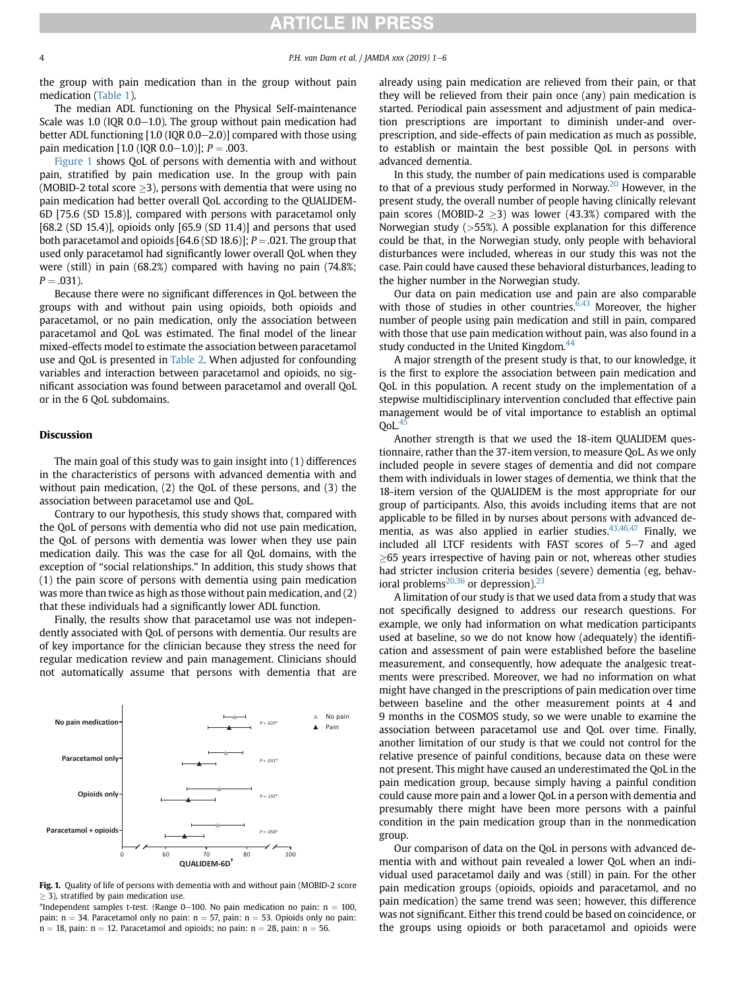the group with pain medication than in the group without pain medication [\(Table 1](#page-2-0)).

The median ADL functioning on the Physical Self-maintenance Scale was 1.0 (IQR  $0.0-1.0$ ). The group without pain medication had better ADL functioning  $[1.0 (IQR 0.0–2.0)]$  compared with those using pain medication [1.0 (IQR 0.0–1.0)];  $P = .003$ .

Figure 1 shows QoL of persons with dementia with and without pain, stratified by pain medication use. In the group with pain (MOBID-2 total score  $>$ 3), persons with dementia that were using no pain medication had better overall QoL according to the QUALIDEM-6D [75.6 (SD 15.8)], compared with persons with paracetamol only [68.2 (SD 15.4)], opioids only  $[65.9$  (SD 11.4)] and persons that used both paracetamol and opioids  $[64.6(SD 18.6)]$ ;  $P = .021$ . The group that used only paracetamol had significantly lower overall QoL when they were (still) in pain (68.2%) compared with having no pain (74.8%;  $P = .031$ ).

Because there were no significant differences in QoL between the groups with and without pain using opioids, both opioids and paracetamol, or no pain medication, only the association between paracetamol and QoL was estimated. The final model of the linear mixed-effects model to estimate the association between paracetamol use and QoL is presented in [Table 2](#page-4-0). When adjusted for confounding variables and interaction between paracetamol and opioids, no significant association was found between paracetamol and overall QoL or in the 6 QoL subdomains.

# Discussion

The main goal of this study was to gain insight into (1) differences in the characteristics of persons with advanced dementia with and without pain medication, (2) the QoL of these persons, and (3) the association between paracetamol use and QoL.

Contrary to our hypothesis, this study shows that, compared with the QoL of persons with dementia who did not use pain medication, the QoL of persons with dementia was lower when they use pain medication daily. This was the case for all QoL domains, with the exception of "social relationships." In addition, this study shows that (1) the pain score of persons with dementia using pain medication was more than twice as high as those without pain medication, and (2) that these individuals had a significantly lower ADL function.

Finally, the results show that paracetamol use was not independently associated with QoL of persons with dementia. Our results are of key importance for the clinician because they stress the need for regular medication review and pain management. Clinicians should not automatically assume that persons with dementia that are



Fig. 1. Quality of life of persons with dementia with and without pain (MOBID-2 score  $\geq$  3), stratified by pain medication use.

\*Independent samples t-test.  $\dagger$ Range 0-100. No pain medication no pain: n = 100, pain:  $n = 34$ . Paracetamol only no pain:  $n = 57$ , pain:  $n = 53$ . Opioids only no pain:  $n = 18$ , pain:  $n = 12$ . Paracetamol and opioids; no pain:  $n = 28$ , pain:  $n = 56$ .

already using pain medication are relieved from their pain, or that they will be relieved from their pain once (any) pain medication is started. Periodical pain assessment and adjustment of pain medication prescriptions are important to diminish under-and overprescription, and side-effects of pain medication as much as possible, to establish or maintain the best possible QoL in persons with advanced dementia.

In this study, the number of pain medications used is comparable to that of a previous study performed in Norway.<sup>[20](#page-4-0)</sup> However, in the present study, the overall number of people having clinically relevant pain scores (MOBID-2  $>3$ ) was lower (43.3%) compared with the Norwegian study  $($ >55%). A possible explanation for this difference could be that, in the Norwegian study, only people with behavioral disturbances were included, whereas in our study this was not the case. Pain could have caused these behavioral disturbances, leading to the higher number in the Norwegian study.

Our data on pain medication use and pain are also comparable with those of studies in other countries. $6,43$  Moreover, the higher number of people using pain medication and still in pain, compared with those that use pain medication without pain, was also found in a study conducted in the United Kingdom.<sup>[44](#page-5-0)</sup>

A major strength of the present study is that, to our knowledge, it is the first to explore the association between pain medication and QoL in this population. A recent study on the implementation of a stepwise multidisciplinary intervention concluded that effective pain management would be of vital importance to establish an optimal  $QoL.<sup>45</sup>$ 

Another strength is that we used the 18-item QUALIDEM questionnaire, rather than the 37-item version, to measure QoL. As we only included people in severe stages of dementia and did not compare them with individuals in lower stages of dementia, we think that the 18-item version of the QUALIDEM is the most appropriate for our group of participants. Also, this avoids including items that are not applicable to be filled in by nurses about persons with advanced dementia, as was also applied in earlier studies. $43,46,47$  Finally, we included all LTCF residents with FAST scores of  $5-7$  and aged  $\geq$ 65 years irrespective of having pain or not, whereas other studies had stricter inclusion criteria besides (severe) dementia (eg, behavioral problems $^{20,36}$  or depression).<sup>[23](#page-4-0)</sup>

A limitation of our study is that we used data from a study that was not specifically designed to address our research questions. For example, we only had information on what medication participants used at baseline, so we do not know how (adequately) the identification and assessment of pain were established before the baseline measurement, and consequently, how adequate the analgesic treatments were prescribed. Moreover, we had no information on what might have changed in the prescriptions of pain medication over time between baseline and the other measurement points at 4 and 9 months in the COSMOS study, so we were unable to examine the association between paracetamol use and QoL over time. Finally, another limitation of our study is that we could not control for the relative presence of painful conditions, because data on these were not present. This might have caused an underestimated the QoL in the pain medication group, because simply having a painful condition could cause more pain and a lower QoL in a person with dementia and presumably there might have been more persons with a painful condition in the pain medication group than in the nonmedication group.

Our comparison of data on the QoL in persons with advanced dementia with and without pain revealed a lower QoL when an individual used paracetamol daily and was (still) in pain. For the other pain medication groups (opioids, opioids and paracetamol, and no pain medication) the same trend was seen; however, this difference was not significant. Either this trend could be based on coincidence, or the groups using opioids or both paracetamol and opioids were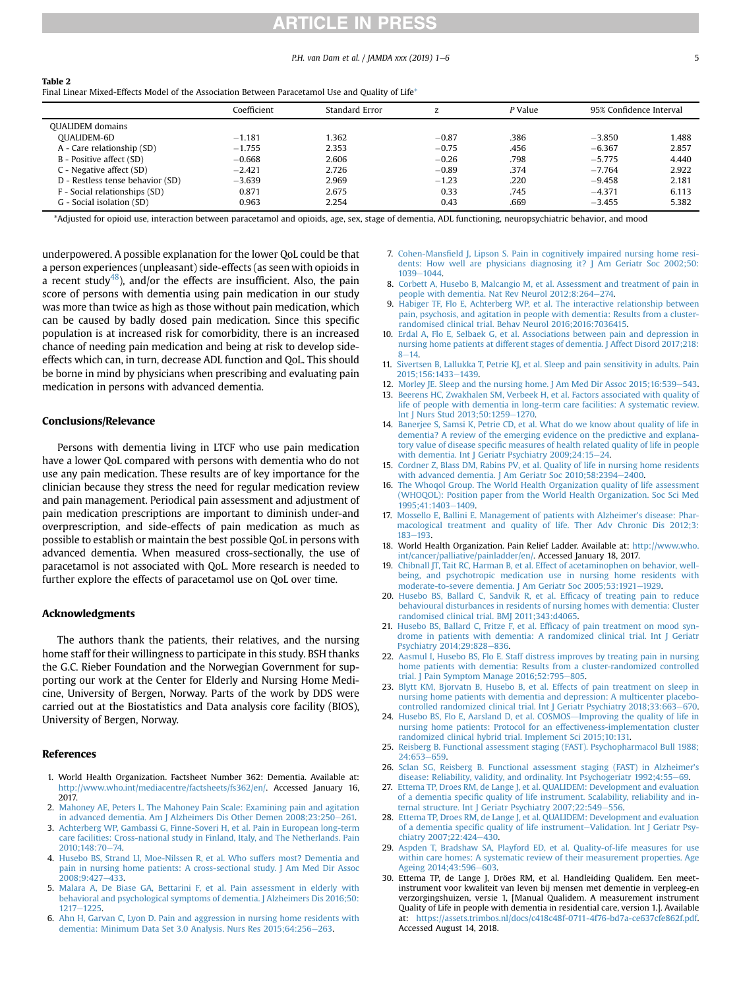# **ARTICLE IN PRESS**

## P.H. van Dam et al. / JAMDA xxx (2019) 1–6 5

<span id="page-4-0"></span>

| Table 2                                                                                          |
|--------------------------------------------------------------------------------------------------|
| Final Linear Mixed-Effects Model of the Association Between Paracetamol Use and Quality of Life* |
|                                                                                                  |

|                                  | Coefficient | Standard Error |         | P Value | 95% Confidence Interval |       |
|----------------------------------|-------------|----------------|---------|---------|-------------------------|-------|
| <b>OUALIDEM</b> domains          |             |                |         |         |                         |       |
| OUALIDEM-6D                      | $-1.181$    | .362           | $-0.87$ | .386    | $-3.850$                | 1.488 |
| A - Care relationship (SD)       | $-1.755$    | 2.353          | $-0.75$ | .456    | $-6.367$                | 2.857 |
| B - Positive affect (SD)         | $-0.668$    | 2.606          | $-0.26$ | .798    | $-5.775$                | 4.440 |
| C - Negative affect (SD)         | $-2.421$    | 2.726          | $-0.89$ | .374    | $-7.764$                | 2.922 |
| D - Restless tense behavior (SD) | $-3.639$    | 2.969          | $-1.23$ | .220    | $-9.458$                | 2.181 |
| F - Social relationships (SD)    | 0.871       | 2.675          | 0.33    | .745    | $-4.371$                | 6.113 |
| G - Social isolation (SD)        | 0.963       | 2.254          | 0.43    | .669    | $-3.455$                | 5.382 |
|                                  |             |                |         |         |                         |       |

\*Adjusted for opioid use, interaction between paracetamol and opioids, age, sex, stage of dementia, ADL functioning, neuropsychiatric behavior, and mood

underpowered. A possible explanation for the lower QoL could be that a person experiences (unpleasant) side-effects (as seen with opioids in a recent study<sup>48</sup>), and/or the effects are insufficient. Also, the pain score of persons with dementia using pain medication in our study was more than twice as high as those without pain medication, which can be caused by badly dosed pain medication. Since this specific population is at increased risk for comorbidity, there is an increased chance of needing pain medication and being at risk to develop sideeffects which can, in turn, decrease ADL function and QoL. This should be borne in mind by physicians when prescribing and evaluating pain medication in persons with advanced dementia.

#### Conclusions/Relevance

Persons with dementia living in LTCF who use pain medication have a lower QoL compared with persons with dementia who do not use any pain medication. These results are of key importance for the clinician because they stress the need for regular medication review and pain management. Periodical pain assessment and adjustment of pain medication prescriptions are important to diminish under-and overprescription, and side-effects of pain medication as much as possible to establish or maintain the best possible QoL in persons with advanced dementia. When measured cross-sectionally, the use of paracetamol is not associated with QoL. More research is needed to further explore the effects of paracetamol use on QoL over time.

# Acknowledgments

The authors thank the patients, their relatives, and the nursing home staff for their willingness to participate in this study. BSH thanks the G.C. Rieber Foundation and the Norwegian Government for supporting our work at the Center for Elderly and Nursing Home Medicine, University of Bergen, Norway. Parts of the work by DDS were carried out at the Biostatistics and Data analysis core facility (BIOS), University of Bergen, Norway.

# References

- 1. World Health Organization. Factsheet Number 362: Dementia. Available at: [http://www.who.int/mediacentre/factsheets/fs362/en/.](http://www.who.int/mediacentre/factsheets/fs362/en/) Accessed January 16, 2017.
- 2. [Mahoney AE, Peters L. The Mahoney Pain Scale: Examining pain and agitation](http://refhub.elsevier.com/S1525-8610(19)30245-2/sref2) [in advanced dementia. Am J Alzheimers Dis Other Demen 2008;23:250](http://refhub.elsevier.com/S1525-8610(19)30245-2/sref2)-[261.](http://refhub.elsevier.com/S1525-8610(19)30245-2/sref2)
- 3. [Achterberg WP, Gambassi G, Finne-Soveri H, et al. Pain in European long-term](http://refhub.elsevier.com/S1525-8610(19)30245-2/sref3) [care facilities: Cross-national study in Finland, Italy, and The Netherlands. Pain](http://refhub.elsevier.com/S1525-8610(19)30245-2/sref3) [2010;148:70](http://refhub.elsevier.com/S1525-8610(19)30245-2/sref3)-[74](http://refhub.elsevier.com/S1525-8610(19)30245-2/sref3).
- 4. [Husebo BS, Strand LI, Moe-Nilssen R, et al. Who suffers most? Dementia and](http://refhub.elsevier.com/S1525-8610(19)30245-2/sref4) [pain in nursing home patients: A cross-sectional study. J Am Med Dir Assoc](http://refhub.elsevier.com/S1525-8610(19)30245-2/sref4) 2008:9:427-[433.](http://refhub.elsevier.com/S1525-8610(19)30245-2/sref4)
- 5. [Malara A, De Biase GA, Bettarini F, et al. Pain assessment in elderly with](http://refhub.elsevier.com/S1525-8610(19)30245-2/sref5) [behavioral and psychological symptoms of dementia. J Alzheimers Dis 2016;50:](http://refhub.elsevier.com/S1525-8610(19)30245-2/sref5) [1217](http://refhub.elsevier.com/S1525-8610(19)30245-2/sref5)-[1225.](http://refhub.elsevier.com/S1525-8610(19)30245-2/sref5)
- 6. [Ahn H, Garvan C, Lyon D. Pain and aggression in nursing home residents with](http://refhub.elsevier.com/S1525-8610(19)30245-2/sref6) [dementia: Minimum Data Set 3.0 Analysis. Nurs Res 2015;64:256](http://refhub.elsevier.com/S1525-8610(19)30245-2/sref6)-[263](http://refhub.elsevier.com/S1525-8610(19)30245-2/sref6).
- 7. Cohen-Mansfi[eld J, Lipson S. Pain in cognitively impaired nursing home resi](http://refhub.elsevier.com/S1525-8610(19)30245-2/sref7)[dents: How well are physicians diagnosing it? J Am Geriatr Soc 2002;50:](http://refhub.elsevier.com/S1525-8610(19)30245-2/sref7) [1039](http://refhub.elsevier.com/S1525-8610(19)30245-2/sref7)-[1044.](http://refhub.elsevier.com/S1525-8610(19)30245-2/sref7)
- 8. [Corbett A, Husebo B, Malcangio M, et al. Assessment and treatment of pain in](http://refhub.elsevier.com/S1525-8610(19)30245-2/sref8) [people with dementia. Nat Rev Neurol 2012;8:264](http://refhub.elsevier.com/S1525-8610(19)30245-2/sref8)-[274.](http://refhub.elsevier.com/S1525-8610(19)30245-2/sref8)
- 9. [Habiger TF, Flo E, Achterberg WP, et al. The interactive relationship between](http://refhub.elsevier.com/S1525-8610(19)30245-2/sref9) [pain, psychosis, and agitation in people with dementia: Results from a cluster](http://refhub.elsevier.com/S1525-8610(19)30245-2/sref9)[randomised clinical trial. Behav Neurol 2016;2016:7036415](http://refhub.elsevier.com/S1525-8610(19)30245-2/sref9).
- 10. [Erdal A, Flo E, Selbaek G, et al. Associations between pain and depression in](http://refhub.elsevier.com/S1525-8610(19)30245-2/sref10) [nursing home patients at different stages of dementia. J Affect Disord 2017;218:](http://refhub.elsevier.com/S1525-8610(19)30245-2/sref10)  $8 - 14$  $8 - 14$  $8 - 14$
- 11. [Sivertsen B, Lallukka T, Petrie KJ, et al. Sleep and pain sensitivity in adults. Pain](http://refhub.elsevier.com/S1525-8610(19)30245-2/sref11) [2015;156:1433](http://refhub.elsevier.com/S1525-8610(19)30245-2/sref11)-[1439.](http://refhub.elsevier.com/S1525-8610(19)30245-2/sref11)
- 12. [Morley JE. Sleep and the nursing home. J Am Med Dir Assoc 2015;16:539](http://refhub.elsevier.com/S1525-8610(19)30245-2/sref12)-[543](http://refhub.elsevier.com/S1525-8610(19)30245-2/sref12).
- 13. [Beerens HC, Zwakhalen SM, Verbeek H, et al. Factors associated with quality of](http://refhub.elsevier.com/S1525-8610(19)30245-2/sref13) [life of people with dementia in long-term care facilities: A systematic review.](http://refhub.elsevier.com/S1525-8610(19)30245-2/sref13) [Int J Nurs Stud 2013;50:1259](http://refhub.elsevier.com/S1525-8610(19)30245-2/sref13)-[1270](http://refhub.elsevier.com/S1525-8610(19)30245-2/sref13).
- 14. [Banerjee S, Samsi K, Petrie CD, et al. What do we know about quality of life in](http://refhub.elsevier.com/S1525-8610(19)30245-2/sref14) [dementia? A review of the emerging evidence on the predictive and explana](http://refhub.elsevier.com/S1525-8610(19)30245-2/sref14)tory value of disease specifi[c measures of health related quality of life in people](http://refhub.elsevier.com/S1525-8610(19)30245-2/sref14) with dementia. Int J Geriatr Psychiatry  $2009;24:15-24$ .
- 15. [Cordner Z, Blass DM, Rabins PV, et al. Quality of life in nursing home residents](http://refhub.elsevier.com/S1525-8610(19)30245-2/sref15) with advanced dementia. J Am Geriatr Soc  $2010;58:2394-2400$ .
- 16. [The Whoqol Group. The World Health Organization quality of life assessment](http://refhub.elsevier.com/S1525-8610(19)30245-2/sref16) [\(WHOQOL\): Position paper from the World Health Organization. Soc Sci Med](http://refhub.elsevier.com/S1525-8610(19)30245-2/sref16) 1995:41:1403-[1409.](http://refhub.elsevier.com/S1525-8610(19)30245-2/sref16)
- 17. [Mossello E, Ballini E. Management of patients with Alzheimer](http://refhub.elsevier.com/S1525-8610(19)30245-2/sref17)'s disease: Phar[macological treatment and quality of life. Ther Adv Chronic Dis 2012;3:](http://refhub.elsevier.com/S1525-8610(19)30245-2/sref17) [183](http://refhub.elsevier.com/S1525-8610(19)30245-2/sref17)-[193](http://refhub.elsevier.com/S1525-8610(19)30245-2/sref17).
- 18. World Health Organization. Pain Relief Ladder. Available at: [http://www.who.](http://www.who.int/cancer/palliative/painladder/en/) [int/cancer/palliative/painladder/en/](http://www.who.int/cancer/palliative/painladder/en/). Accessed January 18, 2017.
- 19. [Chibnall JT, Tait RC, Harman B, et al. Effect of acetaminophen on behavior, well](http://refhub.elsevier.com/S1525-8610(19)30245-2/sref19)[being, and psychotropic medication use in nursing home residents with](http://refhub.elsevier.com/S1525-8610(19)30245-2/sref19) [moderate-to-severe dementia. J Am Geriatr Soc 2005;53:1921](http://refhub.elsevier.com/S1525-8610(19)30245-2/sref19)-[1929](http://refhub.elsevier.com/S1525-8610(19)30245-2/sref19).
- 20. [Husebo BS, Ballard C, Sandvik R, et al. Ef](http://refhub.elsevier.com/S1525-8610(19)30245-2/sref20)ficacy of treating pain to reduce [behavioural disturbances in residents of nursing homes with dementia: Cluster](http://refhub.elsevier.com/S1525-8610(19)30245-2/sref20) [randomised clinical trial. BMJ 2011;343:d4065](http://refhub.elsevier.com/S1525-8610(19)30245-2/sref20).
- 21. [Husebo BS, Ballard C, Fritze F, et al. Ef](http://refhub.elsevier.com/S1525-8610(19)30245-2/sref21)ficacy of pain treatment on mood syn[drome in patients with dementia: A randomized clinical trial. Int J Geriatr](http://refhub.elsevier.com/S1525-8610(19)30245-2/sref21) [Psychiatry 2014;29:828](http://refhub.elsevier.com/S1525-8610(19)30245-2/sref21)-[836.](http://refhub.elsevier.com/S1525-8610(19)30245-2/sref21)
- 22. [Aasmul I, Husebo BS, Flo E. Staff distress improves by treating pain in nursing](http://refhub.elsevier.com/S1525-8610(19)30245-2/sref22) [home patients with dementia: Results from a cluster-randomized controlled](http://refhub.elsevier.com/S1525-8610(19)30245-2/sref22) trial. J Pain Symptom Manage  $2016;52:795-805$  $2016;52:795-805$ .
- 23. [Blytt KM, Bjorvatn B, Husebo B, et al. Effects of pain treatment on sleep in](http://refhub.elsevier.com/S1525-8610(19)30245-2/sref23) [nursing home patients with dementia and depression: A multicenter placebo](http://refhub.elsevier.com/S1525-8610(19)30245-2/sref23)[controlled randomized clinical trial. Int J Geriatr Psychiatry 2018;33:663](http://refhub.elsevier.com/S1525-8610(19)30245-2/sref23)-[670](http://refhub.elsevier.com/S1525-8610(19)30245-2/sref23).
- 24. [Husebo BS, Flo E, Aarsland D, et al. COSMOS](http://refhub.elsevier.com/S1525-8610(19)30245-2/sref24)-[Improving the quality of life in](http://refhub.elsevier.com/S1525-8610(19)30245-2/sref24) [nursing home patients: Protocol for an effectiveness-implementation cluster](http://refhub.elsevier.com/S1525-8610(19)30245-2/sref24) [randomized clinical hybrid trial. Implement Sci 2015;10:131.](http://refhub.elsevier.com/S1525-8610(19)30245-2/sref24)
- 25. [Reisberg B. Functional assessment staging \(FAST\). Psychopharmacol Bull 1988;](http://refhub.elsevier.com/S1525-8610(19)30245-2/sref25)  $24:653 - 659.$  $24:653 - 659.$  $24:653 - 659.$  $24:653 - 659.$
- 26. [Sclan SG, Reisberg B. Functional assessment staging \(FAST\) in Alzheimer](http://refhub.elsevier.com/S1525-8610(19)30245-2/sref26)'s [disease: Reliability, validity, and ordinality. Int Psychogeriatr 1992;4:55](http://refhub.elsevier.com/S1525-8610(19)30245-2/sref26)-[69](http://refhub.elsevier.com/S1525-8610(19)30245-2/sref26).
- 27. [Ettema TP, Droes RM, de Lange J, et al. QUALIDEM: Development and evaluation](http://refhub.elsevier.com/S1525-8610(19)30245-2/sref27) of a dementia specifi[c quality of life instrument. Scalability, reliability and in](http://refhub.elsevier.com/S1525-8610(19)30245-2/sref27)[ternal structure. Int J Geriatr Psychiatry 2007;22:549](http://refhub.elsevier.com/S1525-8610(19)30245-2/sref27)-[556](http://refhub.elsevier.com/S1525-8610(19)30245-2/sref27).
- 28. [Ettema TP, Droes RM, de Lange J, et al. QUALIDEM: Development and evaluation](http://refhub.elsevier.com/S1525-8610(19)30245-2/sref28) of a dementia specifi[c quality of life instrument](http://refhub.elsevier.com/S1525-8610(19)30245-2/sref28)-[Validation. Int J Geriatr Psy](http://refhub.elsevier.com/S1525-8610(19)30245-2/sref28)[chiatry 2007;22:424](http://refhub.elsevier.com/S1525-8610(19)30245-2/sref28)-[430](http://refhub.elsevier.com/S1525-8610(19)30245-2/sref28).
- 29. [Aspden T, Bradshaw SA, Playford ED, et al. Quality-of-life measures for use](http://refhub.elsevier.com/S1525-8610(19)30245-2/sref29) [within care homes: A systematic review of their measurement properties. Age](http://refhub.elsevier.com/S1525-8610(19)30245-2/sref29) Ageing  $2014;43:596-603$  $2014;43:596-603$ .
- 30. Ettema TP, de Lange J, Dröes RM, et al. Handleiding Qualidem. Een meetinstrument voor kwaliteit van leven bij mensen met dementie in verpleeg-en verzorgingshuizen, versie 1, [Manual Qualidem. A measurement instrument Quality of Life in people with dementia in residential care, version 1.]. Available at: <https://assets.trimbos.nl/docs/c418c48f-0711-4f76-bd7a-ce637cfe862f.pdf>. Accessed August 14, 2018.